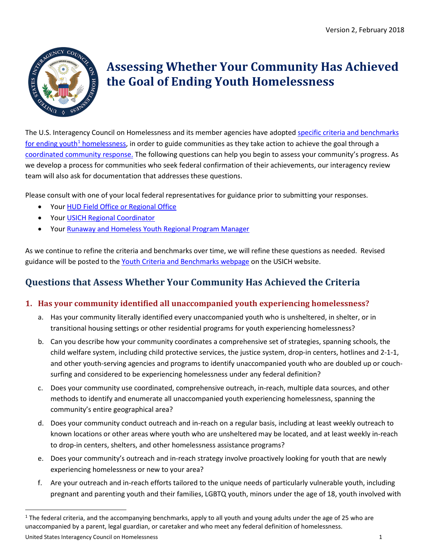

# **Assessing Whether Your Community Has Achieved the Goal of Ending Youth Homelessness**

The U.S. Interagency Council on Homelessness and its member agencies have adopted [specific criteria and benchmarks](https://www.usich.gov/resources/uploads/asset_library/Youth-Criteria-and-Benchmarks-revised-Feb-2018.pdf)  for ending youth<sup>1</sup> homelessness, in order to guide communities as they take action to achieve the goal through a [coordinated community response.](https://www.usich.gov/tools-for-action/coordinated-community-response-to-youth-homelessness) The following questions can help you begin to assess your community's progress. As we develop a process for communities who seek federal confirmation of their achievements, our interagency review team will also ask for documentation that addresses these questions.

Please consult with one of your local federal representatives for guidance prior to submitting your responses.

- Your [HUD Field Office or Regional Office](https://portal.hud.gov/hudportal/HUD?src=/program_offices/field_policy_mgt/localoffices)
- Your [USICH Regional Coordinator](https://www.usich.gov/tools-for-action/map/#fn%5B%5D=1400&fn%5B%5D=3100&fn%5B%5D=6300&fn%5B%5D=10400&fn%5B%5D=13200)
- Your [Runaway and Homeless Youth Regional Program Manager](https://www.acf.hhs.gov/fysb/programs/runaway-homeless-youth)

As we continue to refine the criteria and benchmarks over time, we will refine these questions as needed. Revised guidance will be posted to the [Youth Criteria and Benchmarks webpage](https://www.usich.gov/tools-for-action/criteria-and-benchmarks-for-ending-youth-homelessness) on the USICH website.

## **Questions that Assess Whether Your Community Has Achieved the Criteria**

### **1. Has your community identified all unaccompanied youth experiencing homelessness?**

- a. Has your community literally identified every unaccompanied youth who is unsheltered, in shelter, or in transitional housing settings or other residential programs for youth experiencing homelessness?
- b. Can you describe how your community coordinates a comprehensive set of strategies, spanning schools, the child welfare system, including child protective services, the justice system, drop-in centers, hotlines and 2-1-1, and other youth-serving agencies and programs to identify unaccompanied youth who are doubled up or couchsurfing and considered to be experiencing homelessness under any federal definition?
- c. Does your community use coordinated, comprehensive outreach, in-reach, multiple data sources, and other methods to identify and enumerate all unaccompanied youth experiencing homelessness, spanning the community's entire geographical area?
- d. Does your community conduct outreach and in-reach on a regular basis, including at least weekly outreach to known locations or other areas where youth who are unsheltered may be located, and at least weekly in-reach to drop-in centers, shelters, and other homelessness assistance programs?
- e. Does your community's outreach and in-reach strategy involve proactively looking for youth that are newly experiencing homelessness or new to your area?
- f. Are your outreach and in-reach efforts tailored to the unique needs of particularly vulnerable youth, including pregnant and parenting youth and their families, LGBTQ youth, minors under the age of 18, youth involved with

United States Interagency Council on Homelessness 1

<span id="page-0-0"></span> $1$  The federal criteria, and the accompanying benchmarks, apply to all youth and young adults under the age of 25 who are unaccompanied by a parent, legal guardian, or caretaker and who meet any federal definition of homelessness.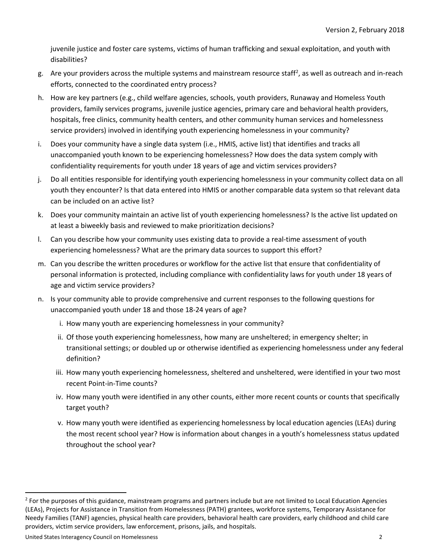juvenile justice and foster care systems, victims of human trafficking and sexual exploitation, and youth with disabilities?

- g. Are your providers across the multiple systems and mainstream resource staff<sup>2</sup>, as well as outreach and in-reach efforts, connected to the coordinated entry process?
- h. How are key partners (e.g., child welfare agencies, schools, youth providers, Runaway and Homeless Youth providers, family services programs, juvenile justice agencies, primary care and behavioral health providers, hospitals, free clinics, community health centers, and other community human services and homelessness service providers) involved in identifying youth experiencing homelessness in your community?
- i. Does your community have a single data system (i.e., HMIS, active list) that identifies and tracks all unaccompanied youth known to be experiencing homelessness? How does the data system comply with confidentiality requirements for youth under 18 years of age and victim services providers?
- j. Do all entities responsible for identifying youth experiencing homelessness in your community collect data on all youth they encounter? Is that data entered into HMIS or another comparable data system so that relevant data can be included on an active list?
- k. Does your community maintain an active list of youth experiencing homelessness? Is the active list updated on at least a biweekly basis and reviewed to make prioritization decisions?
- l. Can you describe how your community uses existing data to provide a real-time assessment of youth experiencing homelessness? What are the primary data sources to support this effort?
- m. Can you describe the written procedures or workflow for the active list that ensure that confidentiality of personal information is protected, including compliance with confidentiality laws for youth under 18 years of age and victim service providers?
- n. Is your community able to provide comprehensive and current responses to the following questions for unaccompanied youth under 18 and those 18-24 years of age?
	- i. How many youth are experiencing homelessness in your community?
	- ii. Of those youth experiencing homelessness, how many are unsheltered; in emergency shelter; in transitional settings; or doubled up or otherwise identified as experiencing homelessness under any federal definition?
	- iii. How many youth experiencing homelessness, sheltered and unsheltered, were identified in your two most recent Point-in-Time counts?
	- iv. How many youth were identified in any other counts, either more recent counts or counts that specifically target youth?
	- v. How many youth were identified as experiencing homelessness by local education agencies (LEAs) during the most recent school year? How is information about changes in a youth's homelessness status updated throughout the school year?

United States Interagency Council on Homelessness 2

<span id="page-1-0"></span><sup>&</sup>lt;sup>2</sup> For the purposes of this guidance, mainstream programs and partners include but are not limited to Local Education Agencies (LEAs), Projects for Assistance in Transition from Homelessness (PATH) grantees, workforce systems, Temporary Assistance for Needy Families (TANF) agencies, physical health care providers, behavioral health care providers, early childhood and child care providers, victim service providers, law enforcement, prisons, jails, and hospitals.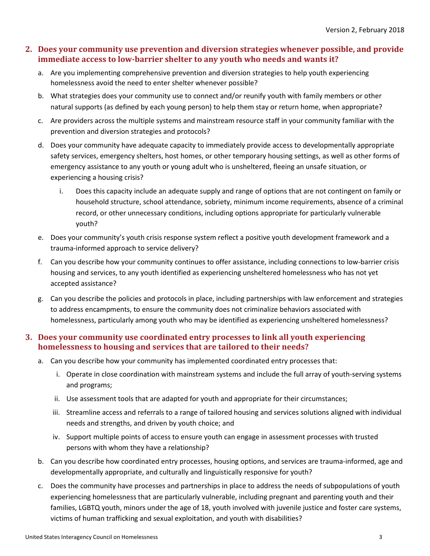#### **2. Does your community use prevention and diversion strategies whenever possible, and provide immediate access to low-barrier shelter to any youth who needs and wants it?**

- a. Are you implementing comprehensive prevention and diversion strategies to help youth experiencing homelessness avoid the need to enter shelter whenever possible?
- b. What strategies does your community use to connect and/or reunify youth with family members or other natural supports (as defined by each young person) to help them stay or return home, when appropriate?
- c. Are providers across the multiple systems and mainstream resource staff in your community familiar with the prevention and diversion strategies and protocols?
- d. Does your community have adequate capacity to immediately provide access to developmentally appropriate safety services, emergency shelters, host homes, or other temporary housing settings, as well as other forms of emergency assistance to any youth or young adult who is unsheltered, fleeing an unsafe situation, or experiencing a housing crisis?
	- i. Does this capacity include an adequate supply and range of options that are not contingent on family or household structure, school attendance, sobriety, minimum income requirements, absence of a criminal record, or other unnecessary conditions, including options appropriate for particularly vulnerable youth?
- e. Does your community's youth crisis response system reflect a positive youth development framework and a trauma-informed approach to service delivery?
- f. Can you describe how your community continues to offer assistance, including connections to low-barrier crisis housing and services, to any youth identified as experiencing unsheltered homelessness who has not yet accepted assistance?
- g. Can you describe the policies and protocols in place, including partnerships with law enforcement and strategies to address encampments, to ensure the community does not criminalize behaviors associated with homelessness, particularly among youth who may be identified as experiencing unsheltered homelessness?

#### **3. Does your community use coordinated entry processes to link all youth experiencing homelessness to housing and services that are tailored to their needs?**

- a. Can you describe how your community has implemented coordinated entry processes that:
	- i. Operate in close coordination with mainstream systems and include the full array of youth-serving systems and programs;
	- ii. Use assessment tools that are adapted for youth and appropriate for their circumstances;
	- iii. Streamline access and referrals to a range of tailored housing and services solutions aligned with individual needs and strengths, and driven by youth choice; and
	- iv. Support multiple points of access to ensure youth can engage in assessment processes with trusted persons with whom they have a relationship?
- b. Can you describe how coordinated entry processes, housing options, and services are trauma-informed, age and developmentally appropriate, and culturally and linguistically responsive for youth?
- c. Does the community have processes and partnerships in place to address the needs of subpopulations of youth experiencing homelessness that are particularly vulnerable, including pregnant and parenting youth and their families, LGBTQ youth, minors under the age of 18, youth involved with juvenile justice and foster care systems, victims of human trafficking and sexual exploitation, and youth with disabilities?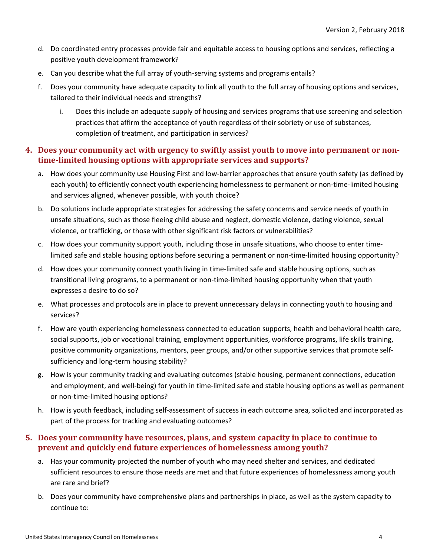- d. Do coordinated entry processes provide fair and equitable access to housing options and services, reflecting a positive youth development framework?
- e. Can you describe what the full array of youth-serving systems and programs entails?
- f. Does your community have adequate capacity to link all youth to the full array of housing options and services, tailored to their individual needs and strengths?
	- i. Does this include an adequate supply of housing and services programs that use screening and selection practices that affirm the acceptance of youth regardless of their sobriety or use of substances, completion of treatment, and participation in services?

#### **4. Does your community act with urgency to swiftly assist youth to move into permanent or nontime-limited housing options with appropriate services and supports?**

- a. How does your community use Housing First and low-barrier approaches that ensure youth safety (as defined by each youth) to efficiently connect youth experiencing homelessness to permanent or non-time-limited housing and services aligned, whenever possible, with youth choice?
- b. Do solutions include appropriate strategies for addressing the safety concerns and service needs of youth in unsafe situations, such as those fleeing child abuse and neglect, domestic violence, dating violence, sexual violence, or trafficking, or those with other significant risk factors or vulnerabilities?
- c. How does your community support youth, including those in unsafe situations, who choose to enter timelimited safe and stable housing options before securing a permanent or non-time-limited housing opportunity?
- d. How does your community connect youth living in time-limited safe and stable housing options, such as transitional living programs, to a permanent or non-time-limited housing opportunity when that youth expresses a desire to do so?
- e. What processes and protocols are in place to prevent unnecessary delays in connecting youth to housing and services?
- f. How are youth experiencing homelessness connected to education supports, health and behavioral health care, social supports, job or vocational training, employment opportunities, workforce programs, life skills training, positive community organizations, mentors, peer groups, and/or other supportive services that promote selfsufficiency and long-term housing stability?
- g. How is your community tracking and evaluating outcomes (stable housing, permanent connections, education and employment, and well-being) for youth in time-limited safe and stable housing options as well as permanent or non-time-limited housing options?
- h. How is youth feedback, including self-assessment of success in each outcome area, solicited and incorporated as part of the process for tracking and evaluating outcomes?

#### **5. Does your community have resources, plans, and system capacity in place to continue to prevent and quickly end future experiences of homelessness among youth?**

- a. Has your community projected the number of youth who may need shelter and services, and dedicated sufficient resources to ensure those needs are met and that future experiences of homelessness among youth are rare and brief?
- b. Does your community have comprehensive plans and partnerships in place, as well as the system capacity to continue to: